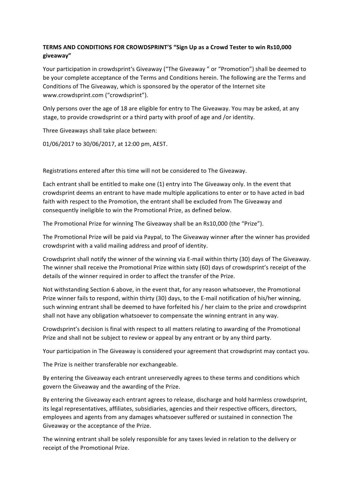## **TERMS AND CONDITIONS FOR CROWDSPRINT'S "Sign Up as a Crowd Tester to win Rs10,000 giveaway"**

Your participation in crowdsprint's Giveaway ("The Giveaway" or "Promotion") shall be deemed to be your complete acceptance of the Terms and Conditions herein. The following are the Terms and Conditions of The Giveaway, which is sponsored by the operator of the Internet site www.crowdsprint.com ("crowdsprint").

Only persons over the age of 18 are eligible for entry to The Giveaway. You may be asked, at any stage, to provide crowdsprint or a third party with proof of age and /or identity.

Three Giveaways shall take place between:

01/06/2017 to 30/06/2017, at 12:00 pm, AEST.

Registrations entered after this time will not be considered to The Giveaway.

Each entrant shall be entitled to make one (1) entry into The Giveaway only. In the event that crowdsprint deems an entrant to have made multiple applications to enter or to have acted in bad faith with respect to the Promotion, the entrant shall be excluded from The Giveaway and consequently ineligible to win the Promotional Prize, as defined below.

The Promotional Prize for winning The Giveaway shall be an Rs10,000 (the "Prize").

The Promotional Prize will be paid via Paypal, to The Giveaway winner after the winner has provided crowdsprint with a valid mailing address and proof of identity.

Crowdsprint shall notify the winner of the winning via E-mail within thirty (30) days of The Giveaway. The winner shall receive the Promotional Prize within sixty (60) days of crowdsprint's receipt of the details of the winner required in order to affect the transfer of the Prize.

Not withstanding Section 6 above, in the event that, for any reason whatsoever, the Promotional Prize winner fails to respond, within thirty (30) days, to the E-mail notification of his/her winning, such winning entrant shall be deemed to have forfeited his / her claim to the prize and crowdsprint shall not have any obligation whatsoever to compensate the winning entrant in any way.

Crowdsprint's decision is final with respect to all matters relating to awarding of the Promotional Prize and shall not be subject to review or appeal by any entrant or by any third party.

Your participation in The Giveaway is considered your agreement that crowdsprint may contact you.

The Prize is neither transferable nor exchangeable.

By entering the Giveaway each entrant unreservedly agrees to these terms and conditions which govern the Giveaway and the awarding of the Prize.

By entering the Giveaway each entrant agrees to release, discharge and hold harmless crowdsprint, its legal representatives, affiliates, subsidiaries, agencies and their respective officers, directors, employees and agents from any damages whatsoever suffered or sustained in connection The Giveaway or the acceptance of the Prize.

The winning entrant shall be solely responsible for any taxes levied in relation to the delivery or receipt of the Promotional Prize.